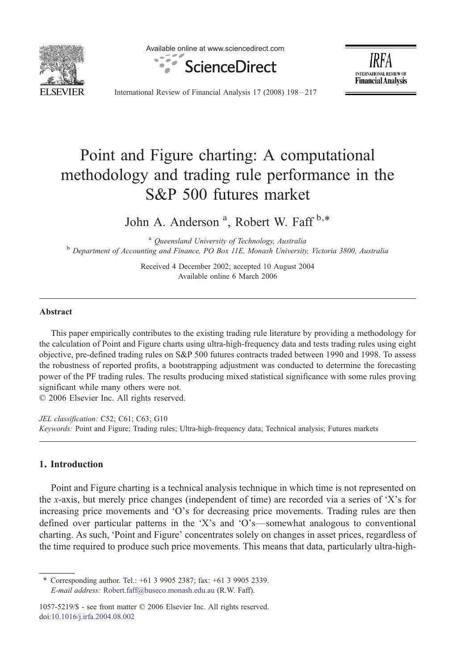

Available online at www.sciencedirect.com





International Review of Financial Analysis 17 (2008) 198–217

## Point and Figure charting: A computational methodology and trading rule performance in the S&P 500 futures market

John A. Anderson<sup>a</sup>, Robert W. Faff<sup>b,\*</sup>

<sup>a</sup> Queensland University of Technology, Australia<br><sup>b</sup> Department of Accounting and Finance, PO Box 11E, Monash University, Victoria 3800, Australia

Received 4 December 2002; accepted 10 August 2004 Available online 6 March 2006

## Abstract

This paper empirically contributes to the existing trading rule literature by providing a methodology for the calculation of Point and Figure charts using ultra-high-frequency data and tests trading rules using eight objective, pre-defined trading rules on S&P 500 futures contracts traded between 1990 and 1998. To assess the robustness of reported profits, a bootstrapping adjustment was conducted to determine the forecasting power of the PF trading rules. The results producing mixed statistical significance with some rules proving significant while many others were not.

© 2006 Elsevier Inc. All rights reserved.

JEL classification: C52; C61; C63; G10 Keywords: Point and Figure; Trading rules; Ultra-high-frequency data; Technical analysis; Futures markets

## 1. Introduction

Point and Figure charting is a technical analysis technique in which time is not represented on the x-axis, but merely price changes (independent of time) are recorded via a series of 'X's for increasing price movements and 'O's for decreasing price movements. Trading rules are then defined over particular patterns in the 'X's and 'O's—somewhat analogous to conventional charting. As such, 'Point and Figure' concentrates solely on changes in asset prices, regardless of the time required to produce such price movements. This means that data, particularly ultra-high-

⁎ Corresponding author. Tel.: +61 3 9905 2387; fax: +61 3 9905 2339. E-mail address: [Robert.faff@buseco.monash.edu.au](mailto:Robert.faff@buseco.monash.edu.au) (R.W. Faff).

<sup>1057-5219/\$ -</sup> see front matter © 2006 Elsevier Inc. All rights reserved. [doi:10.1016/j.irfa.2004.08.002](http://dx.doi.org/10.1016/j.irfa.2004.08.002)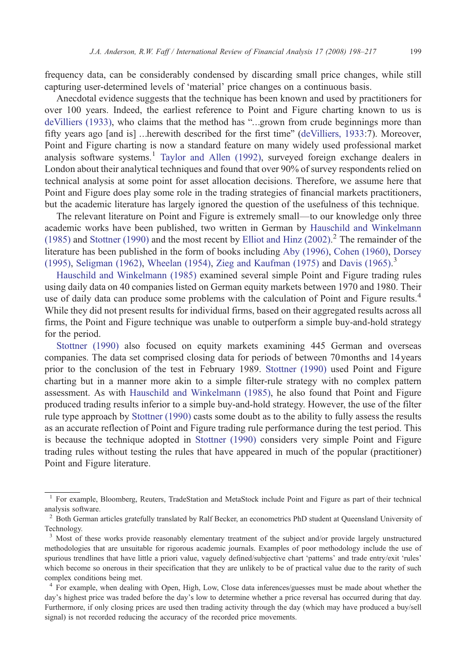frequency data, can be considerably condensed by discarding small price changes, while still capturing user-determined levels of 'material' price changes on a continuous basis.

Anecdotal evidence suggests that the technique has been known and used by practitioners for over 100 years. Indeed, the earliest reference to Point and Figure charting known to us is [deVilliers \(1933\)](#page--1-0), who claims that the method has "…grown from crude beginnings more than fifty years ago [and is] …herewith described for the first time" ([deVilliers, 1933:](#page--1-0)7). Moreover, Point and Figure charting is now a standard feature on many widely used professional market analysis software systems.<sup>1</sup> Taylor and Allen  $(1992)$ , surveyed foreign exchange dealers in London about their analytical techniques and found that over 90% of survey respondents relied on technical analysis at some point for asset allocation decisions. Therefore, we assume here that Point and Figure does play some role in the trading strategies of financial markets practitioners, but the academic literature has largely ignored the question of the usefulness of this technique.

The relevant literature on Point and Figure is extremely small—to our knowledge only three academic works have been published, two written in German by [Hauschild and Winkelmann](#page--1-0) [\(1985\)](#page--1-0) and [Stottner \(1990\)](#page--1-0) and the most recent by [Elliot and Hinz \(2002\).](#page--1-0) <sup>2</sup> The remainder of the literature has been published in the form of books including [Aby \(1996\),](#page--1-0) [Cohen \(1960\)](#page--1-0), [Dorsey](#page--1-0) [\(1995\),](#page--1-0) [Seligman \(1962\)](#page--1-0), [Wheelan \(1954\)](#page--1-0), [Zieg and Kaufman \(1975\)](#page--1-0) and [Davis \(1965\).](#page--1-0) 3

[Hauschild and Winkelmann \(1985\)](#page--1-0) examined several simple Point and Figure trading rules using daily data on 40 companies listed on German equity markets between 1970 and 1980. Their use of daily data can produce some problems with the calculation of Point and Figure results.<sup>4</sup> While they did not present results for individual firms, based on their aggregated results across all firms, the Point and Figure technique was unable to outperform a simple buy-and-hold strategy for the period.

[Stottner \(1990\)](#page--1-0) also focused on equity markets examining 445 German and overseas companies. The data set comprised closing data for periods of between 70months and 14years prior to the conclusion of the test in February 1989. [Stottner \(1990\)](#page--1-0) used Point and Figure charting but in a manner more akin to a simple filter-rule strategy with no complex pattern assessment. As with [Hauschild and Winkelmann \(1985\),](#page--1-0) he also found that Point and Figure produced trading results inferior to a simple buy-and-hold strategy. However, the use of the filter rule type approach by [Stottner \(1990\)](#page--1-0) casts some doubt as to the ability to fully assess the results as an accurate reflection of Point and Figure trading rule performance during the test period. This is because the technique adopted in [Stottner \(1990\)](#page--1-0) considers very simple Point and Figure trading rules without testing the rules that have appeared in much of the popular (practitioner) Point and Figure literature.

<sup>&</sup>lt;sup>1</sup> For example, Bloomberg, Reuters, TradeStation and MetaStock include Point and Figure as part of their technical analysis software.

<sup>&</sup>lt;sup>2</sup> Both German articles gratefully translated by Ralf Becker, an econometrics PhD student at Queensland University of Technology.

<sup>&</sup>lt;sup>3</sup> Most of these works provide reasonably elementary treatment of the subject and/or provide largely unstructured methodologies that are unsuitable for rigorous academic journals. Examples of poor methodology include the use of spurious trendlines that have little a priori value, vaguely defined/subjective chart 'patterns' and trade entry/exit 'rules' which become so onerous in their specification that they are unlikely to be of practical value due to the rarity of such complex conditions being met.

<sup>4</sup> For example, when dealing with Open, High, Low, Close data inferences/guesses must be made about whether the day's highest price was traded before the day's low to determine whether a price reversal has occurred during that day. Furthermore, if only closing prices are used then trading activity through the day (which may have produced a buy/sell signal) is not recorded reducing the accuracy of the recorded price movements.